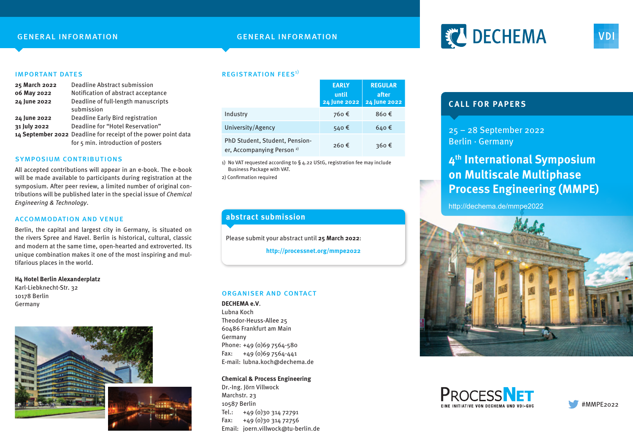## general information general information

# **FEL DECHEMA**

#### important dates

| 25 March 2022 | Deadline Abstract submission                                   |
|---------------|----------------------------------------------------------------|
| 06 May 2022   | Notification of abstract acceptance                            |
| 24 June 2022  | Deadline of full-length manuscripts                            |
|               | submission                                                     |
| 24 June 2022  | Deadline Early Bird registration                               |
| 31 July 2022  | Deadline for "Hotel Reservation"                               |
|               | 14 September 2022 Deadline for receipt of the power point data |
|               | for 5 min. introduction of posters                             |

#### symposium contributions

All accepted contributions will appear in an e-book. The e-book will be made available to participants during registration at the symposium. After peer review, a limited number of original contributions will be published later in the special issue of Chemical Engineering & Technology.

#### accommodation and venue

Berlin, the capital and largest city in Germany, is situated on the rivers Spree and Havel. Berlin is historical, cultural, classic and modern at the same time, open-hearted and extroverted. Its unique combination makes it one of the most inspiring and multifarious places in the world.

#### **H4 Hotel Berlin Alexanderplatz** Karl-Liebknecht-Str. 32 10178 Berlin Germany



### **REGISTRATION FEES**<sup>1)</sup>

|                                                                         | <b>EARLY</b><br>until<br>24 June 2022 | <b>REGULAR</b><br>after<br>24 June 2022 |
|-------------------------------------------------------------------------|---------------------------------------|-----------------------------------------|
| Industry                                                                | 760€                                  | 860€                                    |
| University/Agency                                                       | 540€                                  | 640€                                    |
| PhD Student, Student, Pension-<br>er, Accompanying Person <sup>2)</sup> | 260€                                  | 360€                                    |

1) No VAT requested according to § 4.22 UStG, registration fee may include Business Package with VAT.

2) Confirmation required

## **abstract submission**

Please submit your abstract until **25 March 2022**:

**http://processnet.org/mmpe2022**

#### organiser and contact

**DECHEMA e.V**.

Lubna Koch Theodor-Heuss-Allee 25 60486 Frankfurt am Main Germany Phone: +49 (0)69 7564-580 Fax:  $+49(0)697564-441$ E-mail: lubna.koch@dechema.de

#### **Chemical & Process Engineering**

Dr.-Ing. Jörn Villwock Marchstr. 23 10587 Berlin  $Tel.: +49(0)3031472791$  $Fax: +49(0)3031472756$ Email: joern.villwock@tu-berlin.de

# **CALL FOR PAPERS**

25 – 28 September 2022 Berlin · Germany

# **4th International Symposium on Multiscale Multiphase Process Engineering (MMPE)**

http://dechema.de/mmpe2022







**VDI**